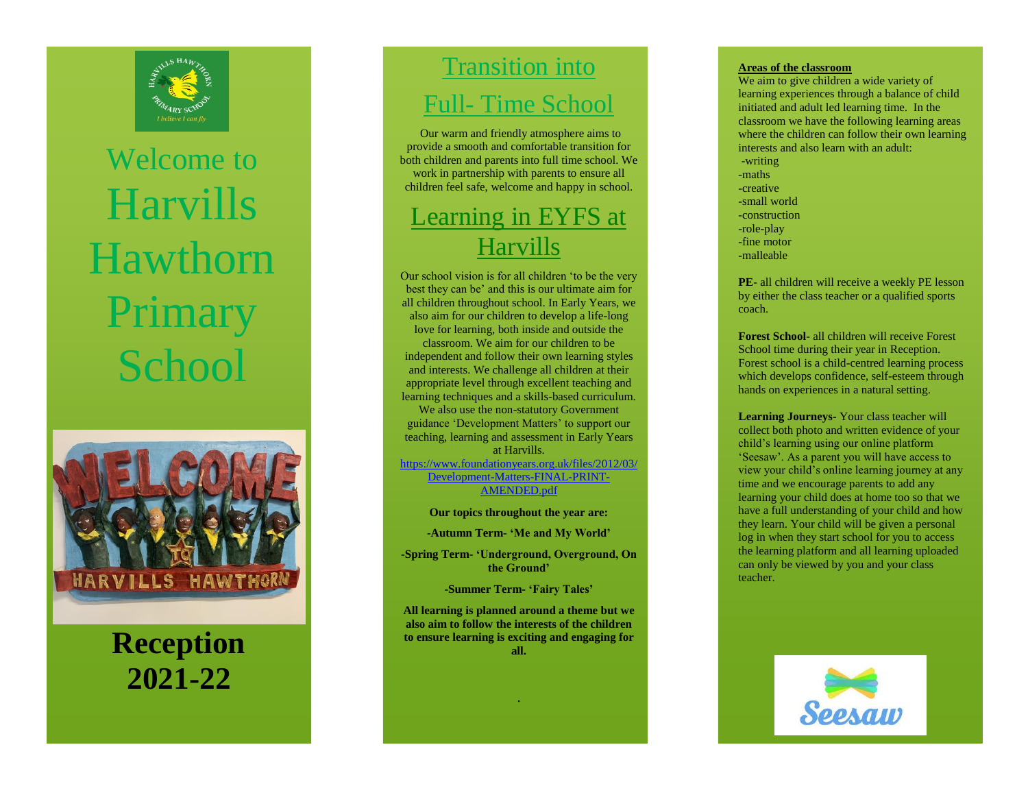

# Welcome to Harvills Hawthorn **Primary School**



## **Reception 2021 -22**

## **Transition into** Full - Time School

Our warm and friendly atmosphere aims to provide a smooth and comfortable transition for both children and parents into full time school. We work in partnership with parents to ensure all children feel safe, welcome and happy in school.

### Learning in EYFS at **Harvills**

Our school vision is for all children 'to be the very best they can be' and this is our ultimate aim for all children throughout school. In Early Years, we also aim for our children to develop a life -long love for learning, both inside and outside the classroom. We aim for our children to be independent and follow their own learning styles and interests. We challenge all children at their appropriate level through excellent teaching and learning techniques and a skills -based curriculum. We also use the non -statutory Government guidance 'Development Matters' to support our teaching, learning and assessment in Early Years

at Harvills. [https://www.foundationyears.org.uk/files/2012/03/](https://www.foundationyears.org.uk/files/2012/03/Development-Matters-FINAL-PRINT-AMENDED.pdf) [Development](https://www.foundationyears.org.uk/files/2012/03/Development-Matters-FINAL-PRINT-AMENDED.pdf)-Matters-FINAL-PRINT-[AMENDED.pdf](https://www.foundationyears.org.uk/files/2012/03/Development-Matters-FINAL-PRINT-AMENDED.pdf)

**Our topics throughout the year are:**

**-Autumn Term- 'Me and My World'**

**-Spring Term - 'Underground, Overground, On the Ground'**

**-Summer Term - 'Fairy Tales'**

**All learning is planned around a theme but we also aim to follow the interests of the children to ensure learning is exciting and engaging for all.**

.

PE- all children will receive a weekly PE lesson by either the class teacher or a qualified sports coach.

**Areas of the classroom**

-writing -maths -creative -small world -construction -role-play -fine motor -malleable

We aim to give children a wide variety of learning experiences through a balance of child initiated and adult led learning time. In the classroom w e have the following learning areas where the children can follow their own learning

interests and also learn with an adult:

**Forest School** - all children will receive Forest School time during their year in Reception. Forest school is a child -centred learning process which develops confidence, self-esteem through hands on experiences in a natural setting.

**Learning Journeys -** Your class teacher will collect both photo and written evidence of your child's learning using our online platform 'Seesaw'. As a parent you will have access to view your child's online learning journey at any time and we encourage parents to add any learning your child does at home too so that we have a full understanding of your child and how they learn. Your child will be given a personal log in when they start school for you to access the learning platform and all learning uploaded can only be viewed by you and your class teacher.